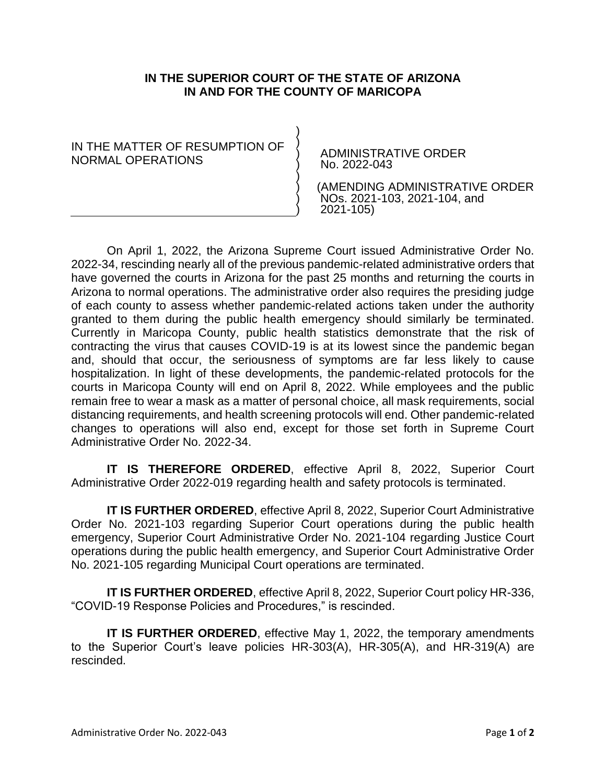## **IN THE SUPERIOR COURT OF THE STATE OF ARIZONA IN AND FOR THE COUNTY OF MARICOPA**

) ) ) ) ) ) ) )

IN THE MATTER OF RESUMPTION OF NORMAL OPERATIONS

ADMINISTRATIVE ORDER No. 2022-043

 (AMENDING ADMINISTRATIVE ORDER NOs. 2021-103, 2021-104, and 2021-105)

On April 1, 2022, the Arizona Supreme Court issued Administrative Order No. 2022-34, rescinding nearly all of the previous pandemic-related administrative orders that have governed the courts in Arizona for the past 25 months and returning the courts in Arizona to normal operations. The administrative order also requires the presiding judge of each county to assess whether pandemic-related actions taken under the authority granted to them during the public health emergency should similarly be terminated. Currently in Maricopa County, public health statistics demonstrate that the risk of contracting the virus that causes COVID-19 is at its lowest since the pandemic began and, should that occur, the seriousness of symptoms are far less likely to cause hospitalization. In light of these developments, the pandemic-related protocols for the courts in Maricopa County will end on April 8, 2022. While employees and the public remain free to wear a mask as a matter of personal choice, all mask requirements, social distancing requirements, and health screening protocols will end. Other pandemic-related changes to operations will also end, except for those set forth in Supreme Court Administrative Order No. 2022-34.

**IT IS THEREFORE ORDERED**, effective April 8, 2022, Superior Court Administrative Order 2022-019 regarding health and safety protocols is terminated.

**IT IS FURTHER ORDERED**, effective April 8, 2022, Superior Court Administrative Order No. 2021-103 regarding Superior Court operations during the public health emergency, Superior Court Administrative Order No. 2021-104 regarding Justice Court operations during the public health emergency, and Superior Court Administrative Order No. 2021-105 regarding Municipal Court operations are terminated.

**IT IS FURTHER ORDERED**, effective April 8, 2022, Superior Court policy HR-336, "COVID-19 Response Policies and Procedures," is rescinded.

**IT IS FURTHER ORDERED, effective May 1, 2022, the temporary amendments** to the Superior Court's leave policies HR-303(A), HR-305(A), and HR-319(A) are rescinded.